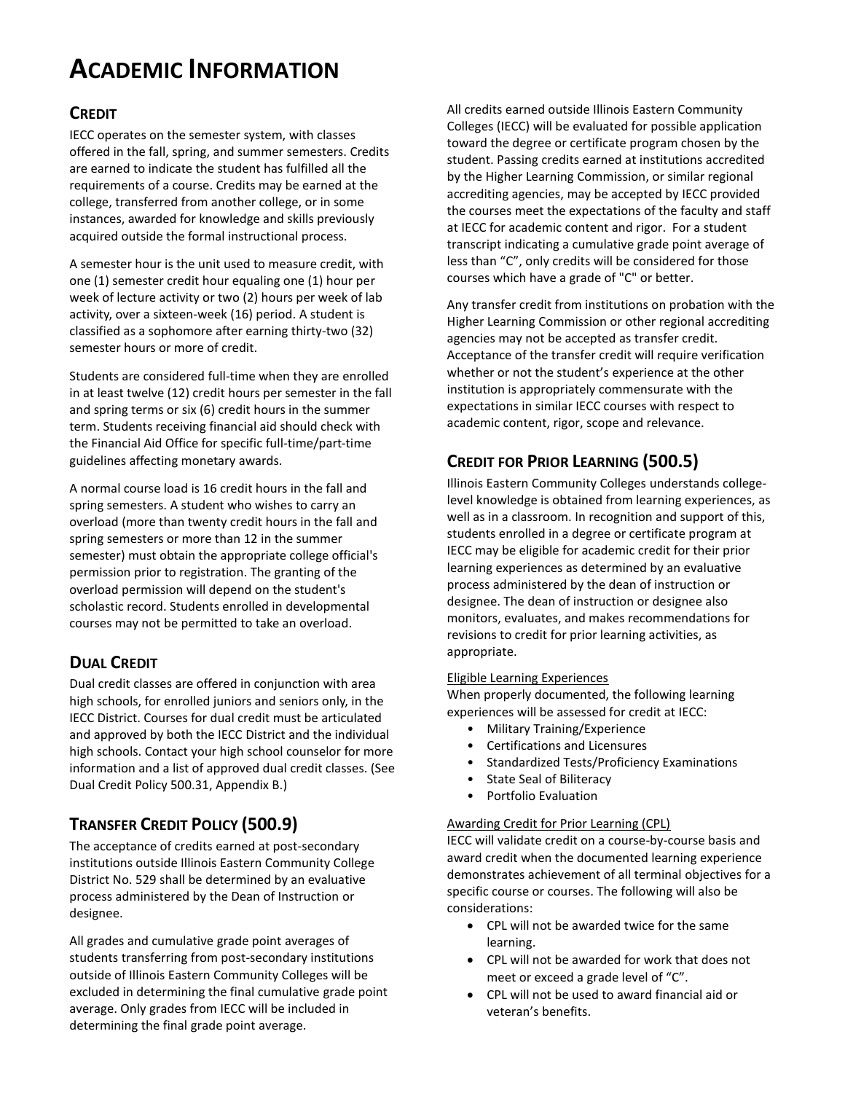# **ACADEMIC INFORMATION**

### **CREDIT**

IECC operates on the semester system, with classes offered in the fall, spring, and summer semesters. Credits are earned to indicate the student has fulfilled all the requirements of a course. Credits may be earned at the college, transferred from another college, or in some instances, awarded for knowledge and skills previously acquired outside the formal instructional process.

A semester hour is the unit used to measure credit, with one (1) semester credit hour equaling one (1) hour per week of lecture activity or two (2) hours per week of lab activity, over a sixteen-week (16) period. A student is classified as a sophomore after earning thirty-two (32) semester hours or more of credit.

Students are considered full-time when they are enrolled in at least twelve (12) credit hours per semester in the fall and spring terms or six (6) credit hours in the summer term. Students receiving financial aid should check with the Financial Aid Office for specific full-time/part-time guidelines affecting monetary awards.

A normal course load is 16 credit hours in the fall and spring semesters. A student who wishes to carry an overload (more than twenty credit hours in the fall and spring semesters or more than 12 in the summer semester) must obtain the appropriate college official's permission prior to registration. The granting of the overload permission will depend on the student's scholastic record. Students enrolled in developmental courses may not be permitted to take an overload.

## **DUAL CREDIT**

Dual credit classes are offered in conjunction with area high schools, for enrolled juniors and seniors only, in the IECC District. Courses for dual credit must be articulated and approved by both the IECC District and the individual high schools. Contact your high school counselor for more information and a list of approved dual credit classes. (See Dual Credit Policy 500.31, Appendix B.)

# **TRANSFER CREDIT POLICY (500.9)**

The acceptance of credits earned at post-secondary institutions outside Illinois Eastern Community College District No. 529 shall be determined by an evaluative process administered by the Dean of Instruction or designee.

All grades and cumulative grade point averages of students transferring from post-secondary institutions outside of Illinois Eastern Community Colleges will be excluded in determining the final cumulative grade point average. Only grades from IECC will be included in determining the final grade point average.

All credits earned outside Illinois Eastern Community Colleges (IECC) will be evaluated for possible application toward the degree or certificate program chosen by the student. Passing credits earned at institutions accredited by the Higher Learning Commission, or similar regional accrediting agencies, may be accepted by IECC provided the courses meet the expectations of the faculty and staff at IECC for academic content and rigor. For a student transcript indicating a cumulative grade point average of less than "C", only credits will be considered for those courses which have a grade of "C" or better.

Any transfer credit from institutions on probation with the Higher Learning Commission or other regional accrediting agencies may not be accepted as transfer credit. Acceptance of the transfer credit will require verification whether or not the student's experience at the other institution is appropriately commensurate with the expectations in similar IECC courses with respect to academic content, rigor, scope and relevance.

# **CREDIT FOR PRIOR LEARNING (500.5)**

Illinois Eastern Community Colleges understands collegelevel knowledge is obtained from learning experiences, as well as in a classroom. In recognition and support of this, students enrolled in a degree or certificate program at IECC may be eligible for academic credit for their prior learning experiences as determined by an evaluative process administered by the dean of instruction or designee. The dean of instruction or designee also monitors, evaluates, and makes recommendations for revisions to credit for prior learning activities, as appropriate.

### Eligible Learning Experiences

When properly documented, the following learning experiences will be assessed for credit at IECC:

- Military Training/Experience
- Certifications and Licensures
- Standardized Tests/Proficiency Examinations
- State Seal of Biliteracy
- Portfolio Evaluation

### Awarding Credit for Prior Learning (CPL)

IECC will validate credit on a course-by-course basis and award credit when the documented learning experience demonstrates achievement of all terminal objectives for a specific course or courses. The following will also be considerations:

- CPL will not be awarded twice for the same learning.
- CPL will not be awarded for work that does not meet or exceed a grade level of "C".
- CPL will not be used to award financial aid or veteran's benefits.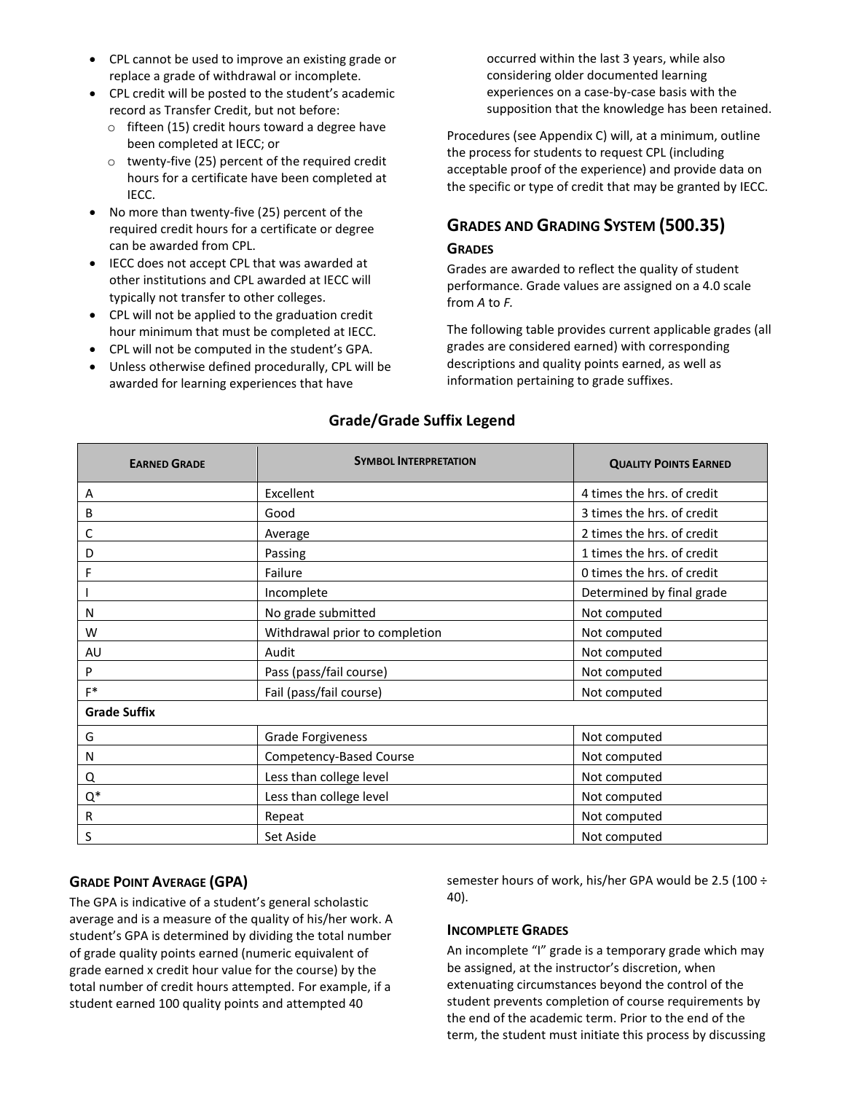- CPL cannot be used to improve an existing grade or replace a grade of withdrawal or incomplete.
- CPL credit will be posted to the student's academic record as Transfer Credit, but not before:
	- $\circ$  fifteen (15) credit hours toward a degree have been completed at IECC; or
	- o twenty-five (25) percent of the required credit hours for a certificate have been completed at IECC.
- No more than twenty-five (25) percent of the required credit hours for a certificate or degree can be awarded from CPL.
- IECC does not accept CPL that was awarded at other institutions and CPL awarded at IECC will typically not transfer to other colleges.
- CPL will not be applied to the graduation credit hour minimum that must be completed at IECC.
- CPL will not be computed in the student's GPA.
- Unless otherwise defined procedurally, CPL will be awarded for learning experiences that have

occurred within the last 3 years, while also considering older documented learning experiences on a case-by-case basis with the supposition that the knowledge has been retained.

Procedures (see Appendix C) will, at a minimum, outline the process for students to request CPL (including acceptable proof of the experience) and provide data on the specific or type of credit that may be granted by IECC.

# **GRADES AND GRADING SYSTEM (500.35)**

### **GRADES**

Grades are awarded to reflect the quality of student performance. Grade values are assigned on a 4.0 scale from *A* to *F.*

The following table provides current applicable grades (all grades are considered earned) with corresponding descriptions and quality points earned, as well as information pertaining to grade suffixes.

| <b>EARNED GRADE</b> | <b>SYMBOL INTERPRETATION</b>   | <b>QUALITY POINTS EARNED</b> |  |
|---------------------|--------------------------------|------------------------------|--|
| A                   | Excellent                      | 4 times the hrs. of credit   |  |
| B                   | Good                           | 3 times the hrs. of credit   |  |
| С                   | Average                        | 2 times the hrs. of credit   |  |
| D                   | Passing                        | 1 times the hrs. of credit   |  |
| F                   | Failure                        | 0 times the hrs. of credit   |  |
|                     | Incomplete                     | Determined by final grade    |  |
| N                   | No grade submitted             | Not computed                 |  |
| W                   | Withdrawal prior to completion | Not computed                 |  |
| AU                  | Audit                          | Not computed                 |  |
| P                   | Pass (pass/fail course)        | Not computed                 |  |
| $F^*$               | Fail (pass/fail course)        | Not computed                 |  |
| <b>Grade Suffix</b> |                                |                              |  |
| G                   | <b>Grade Forgiveness</b>       | Not computed                 |  |
| N                   | Competency-Based Course        | Not computed                 |  |
| Q                   | Less than college level        | Not computed                 |  |
| $\mathrm{Q}^*$      | Less than college level        | Not computed                 |  |
| R                   | Repeat                         | Not computed                 |  |
| S                   | Set Aside                      | Not computed                 |  |

### **Grade/Grade Suffix Legend**

### **GRADE POINT AVERAGE (GPA)**

The GPA is indicative of a student's general scholastic average and is a measure of the quality of his/her work. A student's GPA is determined by dividing the total number of grade quality points earned (numeric equivalent of grade earned x credit hour value for the course) by the total number of credit hours attempted. For example, if a student earned 100 quality points and attempted 40

semester hours of work, his/her GPA would be 2.5 (100 ÷ 40).

### **INCOMPLETE GRADES**

An incomplete "I" grade is a temporary grade which may be assigned, at the instructor's discretion, when extenuating circumstances beyond the control of the student prevents completion of course requirements by the end of the academic term. Prior to the end of the term, the student must initiate this process by discussing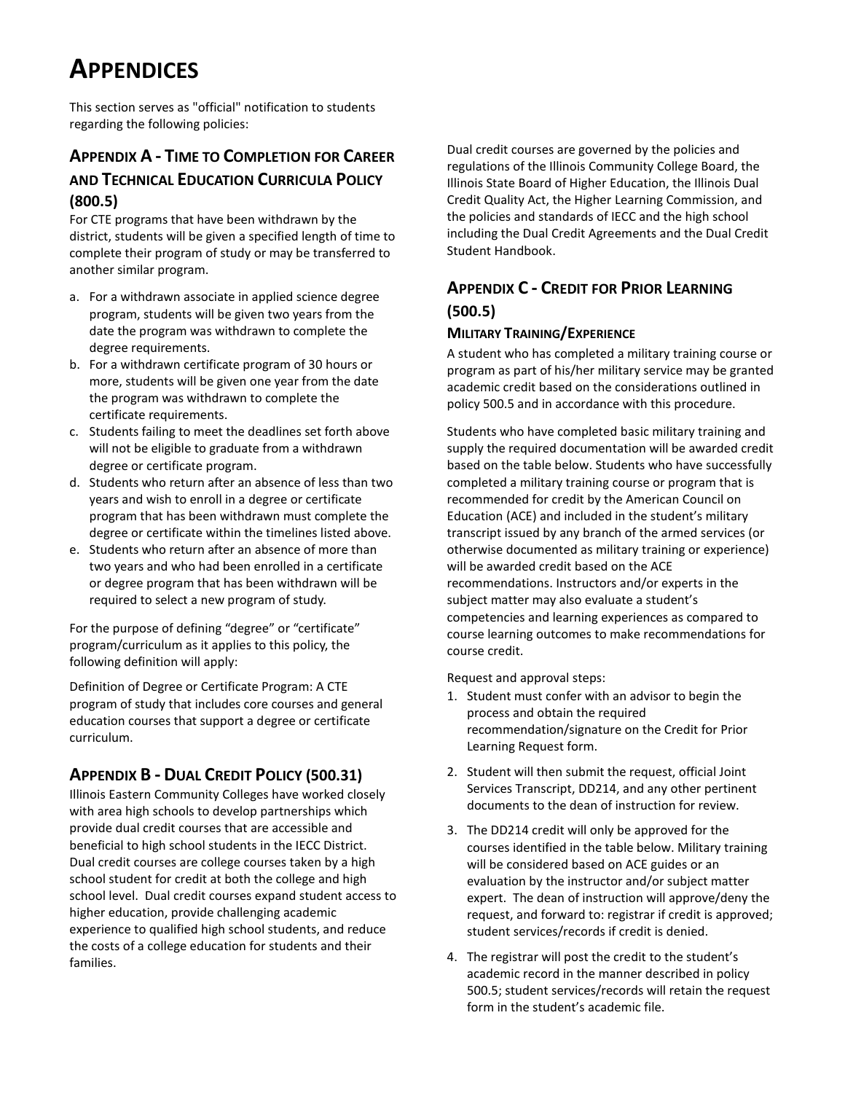# **APPENDICES**

This section serves as "official" notification to students regarding the following policies:

## **APPENDIX A - TIME TO COMPLETION FOR CAREER AND TECHNICAL EDUCATION CURRICULA POLICY (800.5)**

For CTE programs that have been withdrawn by the district, students will be given a specified length of time to complete their program of study or may be transferred to another similar program.

- a. For a withdrawn associate in applied science degree program, students will be given two years from the date the program was withdrawn to complete the degree requirements.
- b. For a withdrawn certificate program of 30 hours or more, students will be given one year from the date the program was withdrawn to complete the certificate requirements.
- c. Students failing to meet the deadlines set forth above will not be eligible to graduate from a withdrawn degree or certificate program.
- d. Students who return after an absence of less than two years and wish to enroll in a degree or certificate program that has been withdrawn must complete the degree or certificate within the timelines listed above.
- e. Students who return after an absence of more than two years and who had been enrolled in a certificate or degree program that has been withdrawn will be required to select a new program of study.

For the purpose of defining "degree" or "certificate" program/curriculum as it applies to this policy, the following definition will apply:

Definition of Degree or Certificate Program: A CTE program of study that includes core courses and general education courses that support a degree or certificate curriculum.

## **APPENDIX B - DUAL CREDIT POLICY (500.31)**

Illinois Eastern Community Colleges have worked closely with area high schools to develop partnerships which provide dual credit courses that are accessible and beneficial to high school students in the IECC District. Dual credit courses are college courses taken by a high school student for credit at both the college and high school level. Dual credit courses expand student access to higher education, provide challenging academic experience to qualified high school students, and reduce the costs of a college education for students and their families.

Dual credit courses are governed by the policies and regulations of the Illinois Community College Board, the Illinois State Board of Higher Education, the Illinois Dual Credit Quality Act, the Higher Learning Commission, and the policies and standards of IECC and the high school including the Dual Credit Agreements and the Dual Credit Student Handbook.

# **APPENDIX C - CREDIT FOR PRIOR LEARNING (500.5)**

### **MILITARY TRAINING/EXPERIENCE**

A student who has completed a military training course or program as part of his/her military service may be granted academic credit based on the considerations outlined in policy 500.5 and in accordance with this procedure.

Students who have completed basic military training and supply the required documentation will be awarded credit based on the table below. Students who have successfully completed a military training course or program that is recommended for credit by the American Council on Education (ACE) and included in the student's military transcript issued by any branch of the armed services (or otherwise documented as military training or experience) will be awarded credit based on the ACE recommendations. Instructors and/or experts in the subject matter may also evaluate a student's competencies and learning experiences as compared to course learning outcomes to make recommendations for course credit.

Request and approval steps:

- 1. Student must confer with an advisor to begin the process and obtain the required recommendation/signature on the Credit for Prior Learning Request form.
- 2. Student will then submit the request, official Joint Services Transcript, DD214, and any other pertinent documents to the dean of instruction for review.
- 3. The DD214 credit will only be approved for the courses identified in the table below. Military training will be considered based on ACE guides or an evaluation by the instructor and/or subject matter expert. The dean of instruction will approve/deny the request, and forward to: registrar if credit is approved; student services/records if credit is denied.
- 4. The registrar will post the credit to the student's academic record in the manner described in policy 500.5; student services/records will retain the request form in the student's academic file.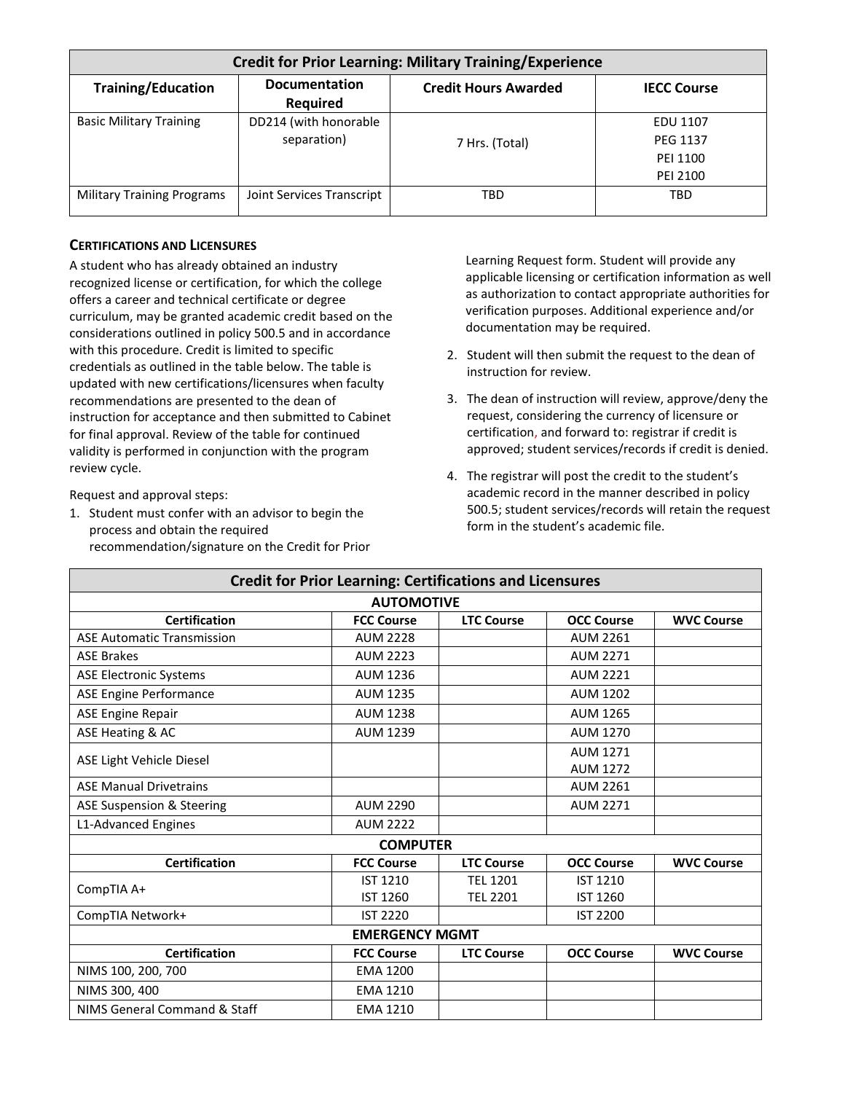| <b>Credit for Prior Learning: Military Training/Experience</b> |                                         |                             |                    |  |
|----------------------------------------------------------------|-----------------------------------------|-----------------------------|--------------------|--|
| <b>Training/Education</b>                                      | <b>Documentation</b><br><b>Required</b> | <b>Credit Hours Awarded</b> | <b>IECC Course</b> |  |
| <b>Basic Military Training</b>                                 | DD214 (with honorable                   |                             | <b>EDU 1107</b>    |  |
|                                                                | separation)                             | 7 Hrs. (Total)              | <b>PEG 1137</b>    |  |
|                                                                |                                         |                             | PEI 1100           |  |
|                                                                |                                         |                             | PEI 2100           |  |
| <b>Military Training Programs</b>                              | Joint Services Transcript               | TBD                         | TBD                |  |

#### **CERTIFICATIONS AND LICENSURES**

A student who has already obtained an industry recognized license or certification, for which the college offers a career and technical certificate or degree curriculum, may be granted academic credit based on the considerations outlined in policy 500.5 and in accordance with this procedure. Credit is limited to specific credentials as outlined in the table below. The table is updated with new certifications/licensures when faculty recommendations are presented to the dean of instruction for acceptance and then submitted to Cabinet for final approval. Review of the table for continued validity is performed in conjunction with the program review cycle.

Request and approval steps:

1. Student must confer with an advisor to begin the process and obtain the required recommendation/signature on the Credit for Prior Learning Request form. Student will provide any applicable licensing or certification information as well as authorization to contact appropriate authorities for verification purposes. Additional experience and/or documentation may be required.

- 2. Student will then submit the request to the dean of instruction for review.
- 3. The dean of instruction will review, approve/deny the request, considering the currency of licensure or certification, and forward to: registrar if credit is approved; student services/records if credit is denied.
- 4. The registrar will post the credit to the student's academic record in the manner described in policy 500.5; student services/records will retain the request form in the student's academic file.

| <b>Credit for Prior Learning: Certifications and Licensures</b> |                   |                   |                   |                   |
|-----------------------------------------------------------------|-------------------|-------------------|-------------------|-------------------|
|                                                                 | <b>AUTOMOTIVE</b> |                   |                   |                   |
| <b>Certification</b>                                            | <b>FCC Course</b> | <b>LTC Course</b> | <b>OCC Course</b> | <b>WVC Course</b> |
| <b>ASE Automatic Transmission</b>                               | <b>AUM 2228</b>   |                   | <b>AUM 2261</b>   |                   |
| <b>ASE Brakes</b>                                               | <b>AUM 2223</b>   |                   | <b>AUM 2271</b>   |                   |
| <b>ASE Electronic Systems</b>                                   | <b>AUM 1236</b>   |                   | <b>AUM 2221</b>   |                   |
| ASE Engine Performance                                          | <b>AUM 1235</b>   |                   | <b>AUM 1202</b>   |                   |
| <b>ASE Engine Repair</b>                                        | <b>AUM 1238</b>   |                   | <b>AUM 1265</b>   |                   |
| ASE Heating & AC                                                | <b>AUM 1239</b>   |                   | <b>AUM 1270</b>   |                   |
|                                                                 |                   |                   | <b>AUM 1271</b>   |                   |
| ASE Light Vehicle Diesel                                        |                   |                   | <b>AUM 1272</b>   |                   |
| <b>ASE Manual Drivetrains</b>                                   |                   |                   | <b>AUM 2261</b>   |                   |
| ASE Suspension & Steering                                       | <b>AUM 2290</b>   |                   | <b>AUM 2271</b>   |                   |
| L1-Advanced Engines                                             | <b>AUM 2222</b>   |                   |                   |                   |
| <b>COMPUTER</b>                                                 |                   |                   |                   |                   |
| <b>Certification</b>                                            | <b>FCC Course</b> | <b>LTC Course</b> | <b>OCC Course</b> | <b>WVC Course</b> |
| CompTIA A+                                                      | <b>IST 1210</b>   | <b>TEL 1201</b>   | <b>IST 1210</b>   |                   |
|                                                                 | IST 1260          | <b>TEL 2201</b>   | IST 1260          |                   |
| CompTIA Network+                                                | <b>IST 2220</b>   |                   | <b>IST 2200</b>   |                   |
| <b>EMERGENCY MGMT</b>                                           |                   |                   |                   |                   |
| <b>Certification</b>                                            | <b>FCC Course</b> | <b>LTC Course</b> | <b>OCC Course</b> | <b>WVC Course</b> |
| NIMS 100, 200, 700                                              | <b>EMA 1200</b>   |                   |                   |                   |
| NIMS 300, 400                                                   | <b>EMA 1210</b>   |                   |                   |                   |
| NIMS General Command & Staff                                    | <b>EMA 1210</b>   |                   |                   |                   |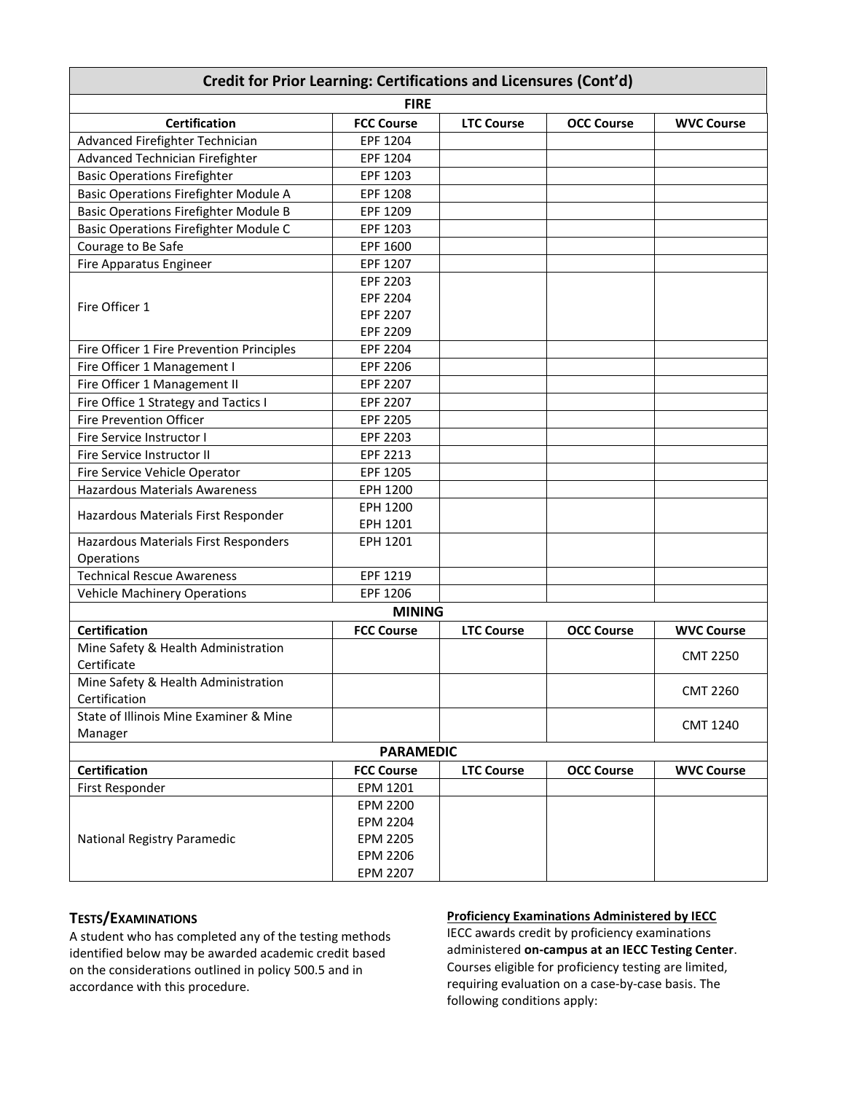| Credit for Prior Learning: Certifications and Licensures (Cont'd) |                   |                   |                   |                   |
|-------------------------------------------------------------------|-------------------|-------------------|-------------------|-------------------|
| <b>FIRE</b>                                                       |                   |                   |                   |                   |
| <b>Certification</b>                                              | <b>FCC Course</b> | <b>LTC Course</b> | <b>OCC Course</b> | <b>WVC Course</b> |
| Advanced Firefighter Technician                                   | EPF 1204          |                   |                   |                   |
| Advanced Technician Firefighter                                   | EPF 1204          |                   |                   |                   |
| <b>Basic Operations Firefighter</b>                               | EPF 1203          |                   |                   |                   |
| <b>Basic Operations Firefighter Module A</b>                      | EPF 1208          |                   |                   |                   |
| <b>Basic Operations Firefighter Module B</b>                      | EPF 1209          |                   |                   |                   |
| <b>Basic Operations Firefighter Module C</b>                      | EPF 1203          |                   |                   |                   |
| Courage to Be Safe                                                | EPF 1600          |                   |                   |                   |
| <b>Fire Apparatus Engineer</b>                                    | EPF 1207          |                   |                   |                   |
|                                                                   | EPF 2203          |                   |                   |                   |
| Fire Officer 1                                                    | EPF 2204          |                   |                   |                   |
|                                                                   | EPF 2207          |                   |                   |                   |
|                                                                   | EPF 2209          |                   |                   |                   |
| Fire Officer 1 Fire Prevention Principles                         | EPF 2204          |                   |                   |                   |
| Fire Officer 1 Management I                                       | EPF 2206          |                   |                   |                   |
| Fire Officer 1 Management II                                      | EPF 2207          |                   |                   |                   |
| Fire Office 1 Strategy and Tactics I                              | EPF 2207          |                   |                   |                   |
| <b>Fire Prevention Officer</b>                                    | <b>EPF 2205</b>   |                   |                   |                   |
| Fire Service Instructor I                                         | EPF 2203          |                   |                   |                   |
| Fire Service Instructor II                                        | EPF 2213          |                   |                   |                   |
| Fire Service Vehicle Operator                                     | EPF 1205          |                   |                   |                   |
| <b>Hazardous Materials Awareness</b>                              | EPH 1200          |                   |                   |                   |
| Hazardous Materials First Responder                               | EPH 1200          |                   |                   |                   |
|                                                                   | EPH 1201          |                   |                   |                   |
| Hazardous Materials First Responders                              | EPH 1201          |                   |                   |                   |
| Operations                                                        |                   |                   |                   |                   |
| <b>Technical Rescue Awareness</b>                                 | EPF 1219          |                   |                   |                   |
| <b>Vehicle Machinery Operations</b>                               | EPF 1206          |                   |                   |                   |
| <b>MINING</b>                                                     |                   |                   |                   |                   |
| <b>Certification</b>                                              | <b>FCC Course</b> | <b>LTC Course</b> | <b>OCC Course</b> | <b>WVC Course</b> |
| Mine Safety & Health Administration<br>Certificate                |                   |                   |                   | <b>CMT 2250</b>   |
| Mine Safety & Health Administration<br>Certification              |                   |                   |                   | <b>CMT 2260</b>   |
| State of Illinois Mine Examiner & Mine<br>Manager                 |                   |                   |                   | <b>CMT 1240</b>   |
| <b>PARAMEDIC</b>                                                  |                   |                   |                   |                   |
| <b>Certification</b>                                              | <b>FCC Course</b> | <b>LTC Course</b> | <b>OCC Course</b> | <b>WVC Course</b> |
| First Responder                                                   | EPM 1201          |                   |                   |                   |
|                                                                   | <b>EPM 2200</b>   |                   |                   |                   |
|                                                                   | <b>EPM 2204</b>   |                   |                   |                   |
| National Registry Paramedic                                       | <b>EPM 2205</b>   |                   |                   |                   |
|                                                                   | <b>EPM 2206</b>   |                   |                   |                   |
|                                                                   | <b>EPM 2207</b>   |                   |                   |                   |

### **TESTS/EXAMINATIONS**

A student who has completed any of the testing methods identified below may be awarded academic credit based on the considerations outlined in policy 500.5 and in accordance with this procedure.

#### **Proficiency Examinations Administered by IECC**

IECC awards credit by proficiency examinations administered **on-campus at an IECC Testing Center**. Courses eligible for proficiency testing are limited, requiring evaluation on a case-by-case basis. The following conditions apply: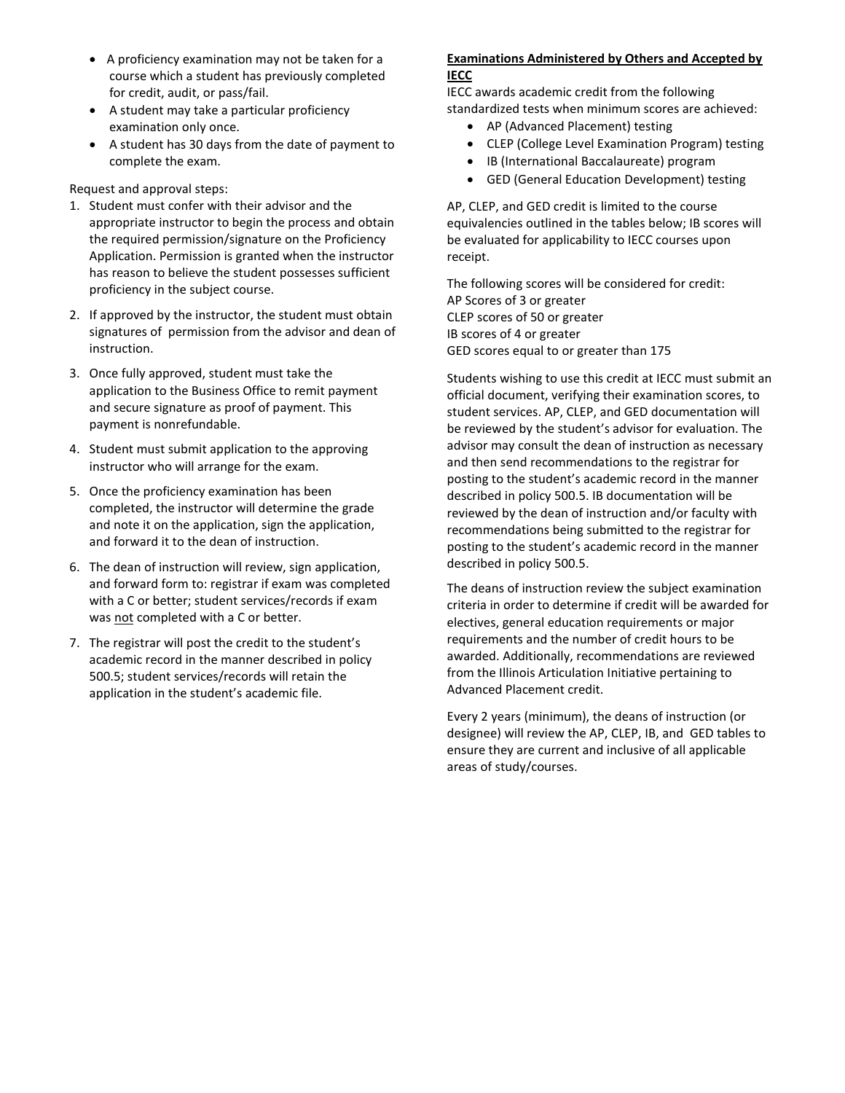- A proficiency examination may not be taken for a course which a student has previously completed for credit, audit, or pass/fail.
- A student may take a particular proficiency examination only once.
- A student has 30 days from the date of payment to complete the exam.

Request and approval steps:

- 1. Student must confer with their advisor and the appropriate instructor to begin the process and obtain the required permission/signature on the Proficiency Application. Permission is granted when the instructor has reason to believe the student possesses sufficient proficiency in the subject course.
- 2. If approved by the instructor, the student must obtain signatures of permission from the advisor and dean of instruction.
- 3. Once fully approved, student must take the application to the Business Office to remit payment and secure signature as proof of payment. This payment is nonrefundable.
- 4. Student must submit application to the approving instructor who will arrange for the exam.
- 5. Once the proficiency examination has been completed, the instructor will determine the grade and note it on the application, sign the application, and forward it to the dean of instruction.
- 6. The dean of instruction will review, sign application, and forward form to: registrar if exam was completed with a C or better; student services/records if exam was not completed with a C or better.
- 7. The registrar will post the credit to the student's academic record in the manner described in policy 500.5; student services/records will retain the application in the student's academic file.

#### **Examinations Administered by Others and Accepted by IECC**

IECC awards academic credit from the following standardized tests when minimum scores are achieved:

- AP (Advanced Placement) testing
- CLEP (College Level Examination Program) testing
- IB (International Baccalaureate) program
- GED (General Education Development) testing

AP, CLEP, and GED credit is limited to the course equivalencies outlined in the tables below; IB scores will be evaluated for applicability to IECC courses upon receipt.

The following scores will be considered for credit: AP Scores of 3 or greater CLEP scores of 50 or greater IB scores of 4 or greater GED scores equal to or greater than 175

Students wishing to use this credit at IECC must submit an official document, verifying their examination scores, to student services. AP, CLEP, and GED documentation will be reviewed by the student's advisor for evaluation. The advisor may consult the dean of instruction as necessary and then send recommendations to the registrar for posting to the student's academic record in the manner described in policy 500.5. IB documentation will be reviewed by the dean of instruction and/or faculty with recommendations being submitted to the registrar for posting to the student's academic record in the manner described in policy 500.5.

The deans of instruction review the subject examination criteria in order to determine if credit will be awarded for electives, general education requirements or major requirements and the number of credit hours to be awarded. Additionally, recommendations are reviewed from the Illinois Articulation Initiative pertaining to Advanced Placement credit.

Every 2 years (minimum), the deans of instruction (or designee) will review the AP, CLEP, IB, and GED tables to ensure they are current and inclusive of all applicable areas of study/courses.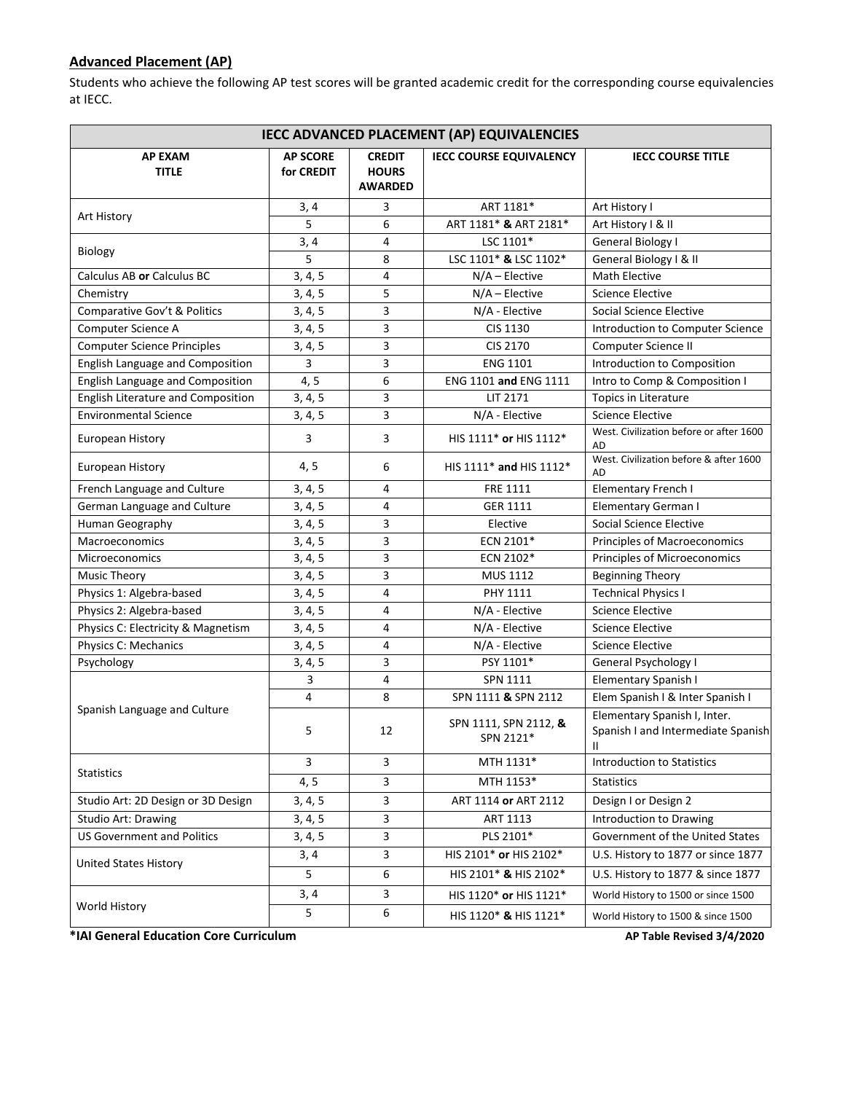### **Advanced Placement (AP)**

Students who achieve the following AP test scores will be granted academic credit for the corresponding course equivalencies at IECC.

| <b>IECC ADVANCED PLACEMENT (AP) EQUIVALENCIES</b> |                               |                                                 |                                    |                                                                         |
|---------------------------------------------------|-------------------------------|-------------------------------------------------|------------------------------------|-------------------------------------------------------------------------|
| <b>AP EXAM</b><br><b>TITLE</b>                    | <b>AP SCORE</b><br>for CREDIT | <b>CREDIT</b><br><b>HOURS</b><br><b>AWARDED</b> | <b>IECC COURSE EQUIVALENCY</b>     | <b>IECC COURSE TITLE</b>                                                |
|                                                   | 3, 4                          | 3                                               | ART 1181*                          | Art History I                                                           |
| Art History                                       | 5                             | 6                                               | ART 1181* & ART 2181*              | Art History I & II                                                      |
|                                                   | 3, 4                          | 4                                               | LSC 1101*                          | General Biology I                                                       |
| Biology                                           | 5                             | 8                                               | LSC 1101* & LSC 1102*              | General Biology I & II                                                  |
| Calculus AB or Calculus BC                        | 3, 4, 5                       | 4                                               | $N/A$ – Elective                   | <b>Math Elective</b>                                                    |
| Chemistry                                         | 3, 4, 5                       | 5                                               | $N/A$ – Elective                   | <b>Science Elective</b>                                                 |
| Comparative Gov't & Politics                      | 3, 4, 5                       | 3                                               | N/A - Elective                     | Social Science Elective                                                 |
| Computer Science A                                | 3, 4, 5                       | 3                                               | CIS 1130                           | Introduction to Computer Science                                        |
| <b>Computer Science Principles</b>                | 3, 4, 5                       | 3                                               | CIS 2170                           | Computer Science II                                                     |
| English Language and Composition                  | 3                             | 3                                               | <b>ENG 1101</b>                    | Introduction to Composition                                             |
| English Language and Composition                  | 4, 5                          | 6                                               | ENG 1101 and ENG 1111              | Intro to Comp & Composition I                                           |
| English Literature and Composition                | 3, 4, 5                       | 3                                               | LIT 2171                           | Topics in Literature                                                    |
| <b>Environmental Science</b>                      | 3, 4, 5                       | 3                                               | N/A - Elective                     | <b>Science Elective</b>                                                 |
| European History                                  | 3                             | 3                                               | HIS 1111* or HIS 1112*             | West. Civilization before or after 1600<br>AD                           |
| European History                                  | 4, 5                          | 6                                               | HIS 1111* and HIS 1112*            | West. Civilization before & after 1600<br>AD                            |
| French Language and Culture                       | 3, 4, 5                       | $\overline{4}$                                  | FRE 1111                           | Elementary French I                                                     |
| German Language and Culture                       | 3, 4, 5                       | $\overline{4}$                                  | <b>GER 1111</b>                    | Elementary German I                                                     |
| Human Geography                                   | 3, 4, 5                       | 3                                               | Elective                           | Social Science Elective                                                 |
| <b>Macroeconomics</b>                             | 3, 4, 5                       | 3                                               | ECN 2101*                          | Principles of Macroeconomics                                            |
| <b>Microeconomics</b>                             | 3, 4, 5                       | 3                                               | ECN 2102*                          | Principles of Microeconomics                                            |
| <b>Music Theory</b>                               | 3, 4, 5                       | 3                                               | MUS 1112                           | <b>Beginning Theory</b>                                                 |
| Physics 1: Algebra-based                          | 3, 4, 5                       | $\overline{4}$                                  | PHY 1111                           | <b>Technical Physics I</b>                                              |
| Physics 2: Algebra-based                          | 3, 4, 5                       | $\overline{4}$                                  | N/A - Elective                     | <b>Science Elective</b>                                                 |
| Physics C: Electricity & Magnetism                | 3, 4, 5                       | $\overline{4}$                                  | N/A - Elective                     | Science Elective                                                        |
| Physics C: Mechanics                              | 3, 4, 5                       | $\overline{4}$                                  | N/A - Elective                     | <b>Science Elective</b>                                                 |
| Psychology                                        | 3, 4, 5                       | 3                                               | PSY 1101*                          | General Psychology I                                                    |
|                                                   | 3                             | $\overline{4}$                                  | <b>SPN 1111</b>                    | Elementary Spanish I                                                    |
|                                                   | 4                             | 8                                               | SPN 1111 & SPN 2112                | Elem Spanish I & Inter Spanish I                                        |
| Spanish Language and Culture                      | 5                             | 12                                              | SPN 1111, SPN 2112, &<br>SPN 2121* | Elementary Spanish I, Inter.<br>Spanish I and Intermediate Spanish<br>Ш |
| Statistics                                        | 3                             | 3                                               | MTH 1131*                          | <b>Introduction to Statistics</b>                                       |
|                                                   | 4, 5                          | 3                                               | MTH 1153*                          | <b>Statistics</b>                                                       |
| Studio Art: 2D Design or 3D Design                | 3, 4, 5                       | 3                                               | ART 1114 or ART 2112               | Design I or Design 2                                                    |
| Studio Art: Drawing                               | 3, 4, 5                       | $\mathsf{3}$                                    | ART 1113                           | Introduction to Drawing                                                 |
| <b>US Government and Politics</b>                 | 3, 4, 5                       | 3                                               | PLS 2101*                          | Government of the United States                                         |
| <b>United States History</b>                      | 3, 4                          | 3                                               | HIS 2101* or HIS 2102*             | U.S. History to 1877 or since 1877                                      |
|                                                   | 5                             | 6                                               | HIS 2101* & HIS 2102*              | U.S. History to 1877 & since 1877                                       |
|                                                   | 3, 4                          | 3                                               | HIS 1120* or HIS 1121*             | World History to 1500 or since 1500                                     |
| World History                                     | 5                             | 6                                               | HIS 1120* & HIS 1121*              | World History to 1500 & since 1500                                      |

**\*IAI General Education Core Curriculum AP Table Revised 3/4/2020**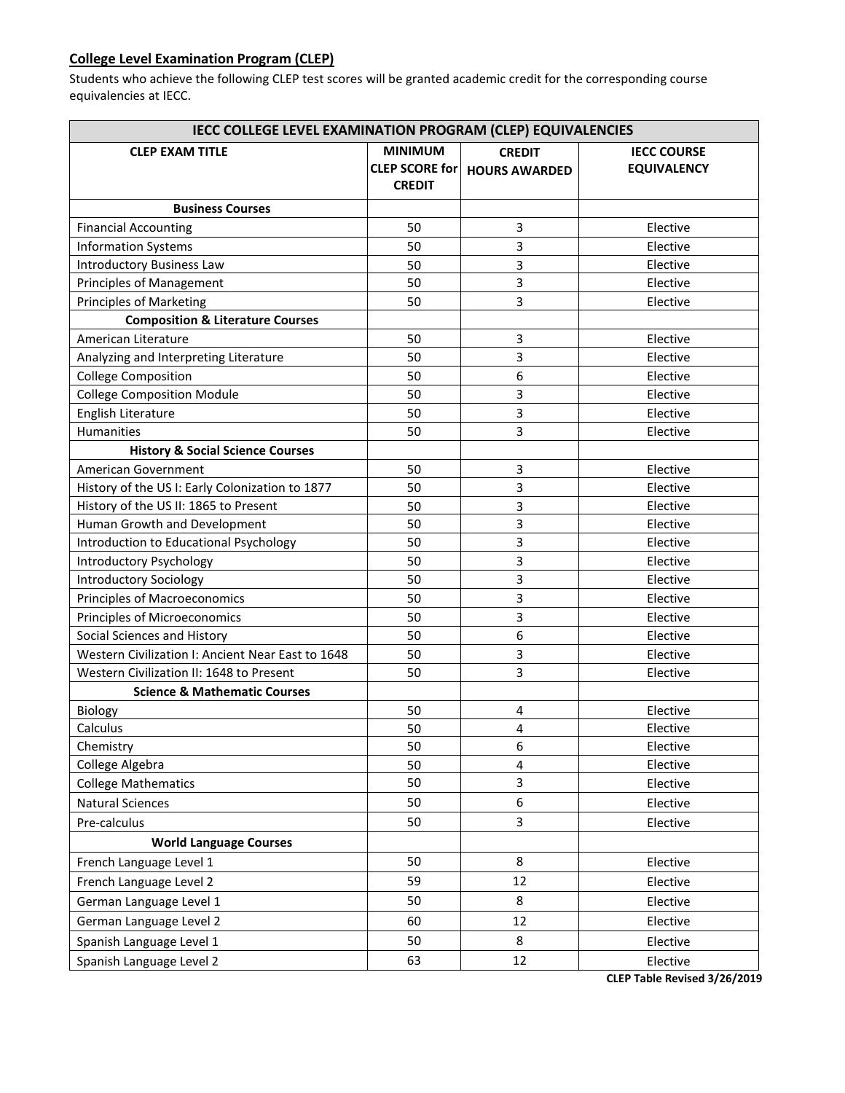### **College Level Examination Program (CLEP)**

Students who achieve the following CLEP test scores will be granted academic credit for the corresponding course equivalencies at IECC.

| IECC COLLEGE LEVEL EXAMINATION PROGRAM (CLEP) EQUIVALENCIES |                                                          |                                       |                                          |
|-------------------------------------------------------------|----------------------------------------------------------|---------------------------------------|------------------------------------------|
| <b>CLEP EXAM TITLE</b>                                      | <b>MINIMUM</b><br><b>CLEP SCORE for</b><br><b>CREDIT</b> | <b>CREDIT</b><br><b>HOURS AWARDED</b> | <b>IECC COURSE</b><br><b>EQUIVALENCY</b> |
| <b>Business Courses</b>                                     |                                                          |                                       |                                          |
| <b>Financial Accounting</b>                                 | 50                                                       | 3                                     | Elective                                 |
| <b>Information Systems</b>                                  | 50                                                       | 3                                     | Elective                                 |
| <b>Introductory Business Law</b>                            | 50                                                       | 3                                     | Elective                                 |
| Principles of Management                                    | 50                                                       | 3                                     | Elective                                 |
| <b>Principles of Marketing</b>                              | 50                                                       | 3                                     | Elective                                 |
| <b>Composition &amp; Literature Courses</b>                 |                                                          |                                       |                                          |
| American Literature                                         | 50                                                       | 3                                     | Elective                                 |
| Analyzing and Interpreting Literature                       | 50                                                       | 3                                     | Elective                                 |
| <b>College Composition</b>                                  | 50                                                       | 6                                     | Elective                                 |
| <b>College Composition Module</b>                           | 50                                                       | 3                                     | Elective                                 |
| English Literature                                          | 50                                                       | 3                                     | Elective                                 |
| Humanities                                                  | 50                                                       | 3                                     | Elective                                 |
| <b>History &amp; Social Science Courses</b>                 |                                                          |                                       |                                          |
| American Government                                         | 50                                                       | 3                                     | Elective                                 |
| History of the US I: Early Colonization to 1877             | 50                                                       | 3                                     | Elective                                 |
| History of the US II: 1865 to Present                       | 50                                                       | 3                                     | Elective                                 |
| Human Growth and Development                                | 50                                                       | 3                                     | Elective                                 |
| Introduction to Educational Psychology                      | 50                                                       | 3                                     | Elective                                 |
| Introductory Psychology                                     | 50                                                       | 3                                     | Elective                                 |
| <b>Introductory Sociology</b>                               | 50                                                       | 3                                     | Elective                                 |
| Principles of Macroeconomics                                | 50                                                       | 3                                     | Elective                                 |
| Principles of Microeconomics                                | 50                                                       | 3                                     | Elective                                 |
| Social Sciences and History                                 | 50                                                       | 6                                     | Elective                                 |
| Western Civilization I: Ancient Near East to 1648           | 50                                                       | 3                                     | Elective                                 |
| Western Civilization II: 1648 to Present                    | 50                                                       | 3                                     | Elective                                 |
| <b>Science &amp; Mathematic Courses</b>                     |                                                          |                                       |                                          |
| Biology                                                     | 50                                                       | 4                                     | Elective                                 |
| Calculus                                                    | 50                                                       | 4                                     | Elective                                 |
| Chemistry                                                   | 50                                                       | 6                                     | Elective                                 |
| College Algebra                                             | 50                                                       | $\overline{\mathbf{4}}$               | Elective                                 |
| <b>College Mathematics</b>                                  | 50                                                       | 3                                     | Elective                                 |
| <b>Natural Sciences</b>                                     | 50                                                       | 6                                     | Elective                                 |
| Pre-calculus                                                | 50                                                       | 3                                     | Elective                                 |
| <b>World Language Courses</b>                               |                                                          |                                       |                                          |
| French Language Level 1                                     | 50                                                       | 8                                     | Elective                                 |
| French Language Level 2                                     | 59                                                       | 12                                    | Elective                                 |
| German Language Level 1                                     | 50                                                       | 8                                     | Elective                                 |
| German Language Level 2                                     | 60                                                       | 12                                    | Elective                                 |
| Spanish Language Level 1                                    | 50                                                       | 8                                     | Elective                                 |
| Spanish Language Level 2                                    | 63                                                       | 12                                    | Elective                                 |

**CLEP Table Revised 3/26/2019**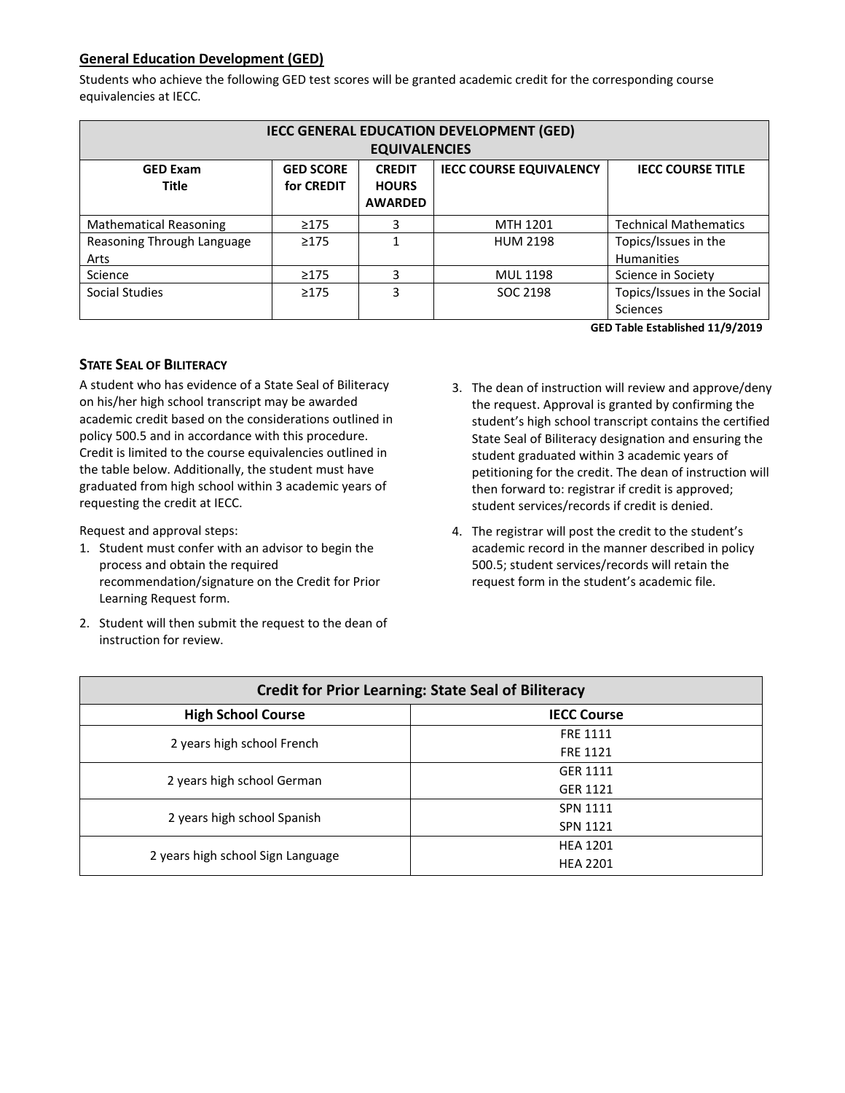### **General Education Development (GED)**

Students who achieve the following GED test scores will be granted academic credit for the corresponding course equivalencies at IECC.

| IECC GENERAL EDUCATION DEVELOPMENT (GED)                                                                           |                            |                |                 |                              |
|--------------------------------------------------------------------------------------------------------------------|----------------------------|----------------|-----------------|------------------------------|
| <b>EQUIVALENCIES</b>                                                                                               |                            |                |                 |                              |
| <b>IECC COURSE EQUIVALENCY</b><br><b>GED SCORE</b><br><b>IECC COURSE TITLE</b><br><b>GED Exam</b><br><b>CREDIT</b> |                            |                |                 |                              |
| <b>Title</b>                                                                                                       | for CREDIT<br><b>HOURS</b> |                |                 |                              |
|                                                                                                                    |                            | <b>AWARDED</b> |                 |                              |
| <b>Mathematical Reasoning</b>                                                                                      | $\geq$ 175                 | 3              | MTH 1201        | <b>Technical Mathematics</b> |
| Reasoning Through Language                                                                                         | $\geq$ 175                 | 1              | <b>HUM 2198</b> | Topics/Issues in the         |
| Arts                                                                                                               |                            |                |                 | <b>Humanities</b>            |
| Science                                                                                                            | $\geq$ 175                 | 3              | <b>MUL 1198</b> | Science in Society           |
| Social Studies                                                                                                     | $\geq$ 175                 | 3              | SOC 2198        | Topics/Issues in the Social  |
|                                                                                                                    |                            |                |                 | Sciences                     |

**GED Table Established 11/9/2019**

### **STATE SEAL OF BILITERACY**

A student who has evidence of a State Seal of Biliteracy on his/her high school transcript may be awarded academic credit based on the considerations outlined in policy 500.5 and in accordance with this procedure. Credit is limited to the course equivalencies outlined in the table below. Additionally, the student must have graduated from high school within 3 academic years of requesting the credit at IECC.

Request and approval steps:

- 1. Student must confer with an advisor to begin the process and obtain the required recommendation/signature on the Credit for Prior Learning Request form.
- 2. Student will then submit the request to the dean of instruction for review.
- 3. The dean of instruction will review and approve/deny the request. Approval is granted by confirming the student's high school transcript contains the certified State Seal of Biliteracy designation and ensuring the student graduated within 3 academic years of petitioning for the credit. The dean of instruction will then forward to: registrar if credit is approved; student services/records if credit is denied.
- 4. The registrar will post the credit to the student's academic record in the manner described in policy 500.5; student services/records will retain the request form in the student's academic file.

| <b>Credit for Prior Learning: State Seal of Biliteracy</b> |                    |  |  |
|------------------------------------------------------------|--------------------|--|--|
| <b>High School Course</b>                                  | <b>IECC Course</b> |  |  |
| 2 years high school French                                 | <b>FRF 1111</b>    |  |  |
|                                                            | <b>FRE 1121</b>    |  |  |
| 2 years high school German                                 | GER 1111           |  |  |
|                                                            | GER 1121           |  |  |
| 2 years high school Spanish                                | SPN 1111           |  |  |
|                                                            | SPN 1121           |  |  |
|                                                            | <b>HEA 1201</b>    |  |  |
| 2 years high school Sign Language                          | <b>HEA 2201</b>    |  |  |